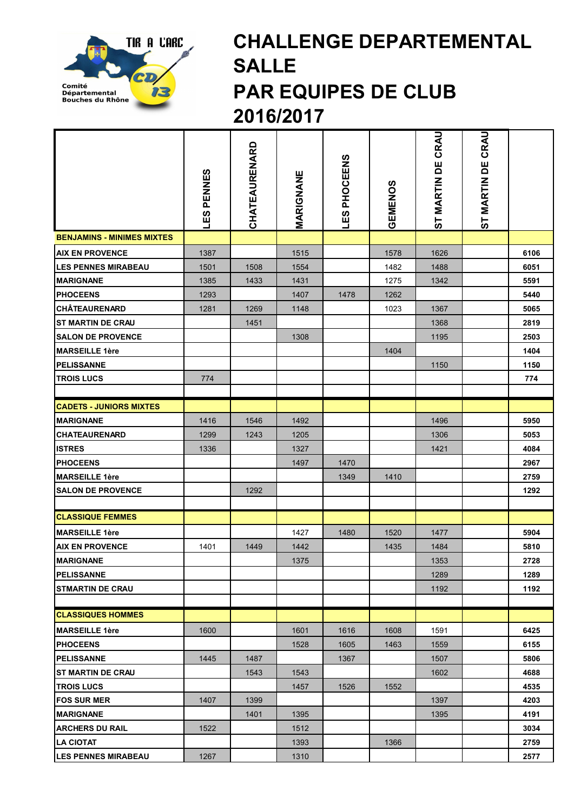

## CHALLENGE DEPARTEMENTAL SALLE PAR EQUIPES DE CLUB 2016/2017

|                                   | PENNES<br><u>C3</u> | CHATEAURENARD | MARIGNANE | LES PHOCEENS | GEMENOS | CRAU<br>ST MARTIN DE | ST MARTIN DE CRAU |      |
|-----------------------------------|---------------------|---------------|-----------|--------------|---------|----------------------|-------------------|------|
| <b>BENJAMINS - MINIMES MIXTES</b> |                     |               |           |              |         |                      |                   |      |
| <b>AIX EN PROVENCE</b>            | 1387                |               | 1515      |              | 1578    | 1626                 |                   | 6106 |
| <b>LES PENNES MIRABEAU</b>        | 1501                | 1508          | 1554      |              | 1482    | 1488                 |                   | 6051 |
| <b>MARIGNANE</b>                  | 1385                | 1433          | 1431      |              | 1275    | 1342                 |                   | 5591 |
| <b>PHOCEENS</b>                   | 1293                |               | 1407      | 1478         | 1262    |                      |                   | 5440 |
| <b>CHÂTEAURENARD</b>              | 1281                | 1269          | 1148      |              | 1023    | 1367                 |                   | 5065 |
| <b>ST MARTIN DE CRAU</b>          |                     | 1451          |           |              |         | 1368                 |                   | 2819 |
| <b>SALON DE PROVENCE</b>          |                     |               | 1308      |              |         | 1195                 |                   | 2503 |
| <b>MARSEILLE 1ère</b>             |                     |               |           |              | 1404    |                      |                   | 1404 |
| <b>PELISSANNE</b>                 |                     |               |           |              |         | 1150                 |                   | 1150 |
| <b>TROIS LUCS</b>                 | 774                 |               |           |              |         |                      |                   | 774  |
|                                   |                     |               |           |              |         |                      |                   |      |
| <b>CADETS - JUNIORS MIXTES</b>    |                     |               |           |              |         |                      |                   |      |
| <b>MARIGNANE</b>                  | 1416                | 1546          | 1492      |              |         | 1496                 |                   | 5950 |
| <b>CHATEAURENARD</b>              | 1299                | 1243          | 1205      |              |         | 1306                 |                   | 5053 |
| <b>ISTRES</b>                     | 1336                |               | 1327      |              |         | 1421                 |                   | 4084 |
| <b>PHOCEENS</b>                   |                     |               | 1497      | 1470         |         |                      |                   | 2967 |
| <b>MARSEILLE 1ère</b>             |                     |               |           | 1349         | 1410    |                      |                   | 2759 |
| <b>SALON DE PROVENCE</b>          |                     | 1292          |           |              |         |                      |                   | 1292 |
|                                   |                     |               |           |              |         |                      |                   |      |
| <b>CLASSIQUE FEMMES</b>           |                     |               |           |              |         |                      |                   |      |
| <b>MARSEILLE 1ère</b>             |                     |               | 1427      | 1480         | 1520    | 1477                 |                   | 5904 |
| <b>AIX EN PROVENCE</b>            | 1401                | 1449          | 1442      |              | 1435    | 1484                 |                   | 5810 |
| <b>MARIGNANE</b>                  |                     |               | 1375      |              |         | 1353                 |                   | 2728 |
| <b>PELISSANNE</b>                 |                     |               |           |              |         | 1289                 |                   | 1289 |
| <b>STMARTIN DE CRAU</b>           |                     |               |           |              |         | 1192                 |                   | 1192 |
| <b>CLASSIQUES HOMMES</b>          |                     |               |           |              |         |                      |                   |      |
| <b>MARSEILLE 1ère</b>             | 1600                |               | 1601      | 1616         | 1608    | 1591                 |                   | 6425 |
| <b>PHOCEENS</b>                   |                     |               | 1528      | 1605         | 1463    | 1559                 |                   | 6155 |
| <b>PELISSANNE</b>                 | 1445                | 1487          |           | 1367         |         | 1507                 |                   | 5806 |
| <b>IST MARTIN DE CRAU</b>         |                     | 1543          | 1543      |              |         | 1602                 |                   | 4688 |
| <b>TROIS LUCS</b>                 |                     |               | 1457      | 1526         | 1552    |                      |                   | 4535 |
| <b>FOS SUR MER</b>                | 1407                | 1399          |           |              |         | 1397                 |                   | 4203 |
| <b>MARIGNANE</b>                  |                     | 1401          | 1395      |              |         | 1395                 |                   | 4191 |
| <b>ARCHERS DU RAIL</b>            | 1522                |               | 1512      |              |         |                      |                   | 3034 |
| <b>LA CIOTAT</b>                  |                     |               | 1393      |              | 1366    |                      |                   | 2759 |
| <b>LES PENNES MIRABEAU</b>        | 1267                |               | 1310      |              |         |                      |                   | 2577 |